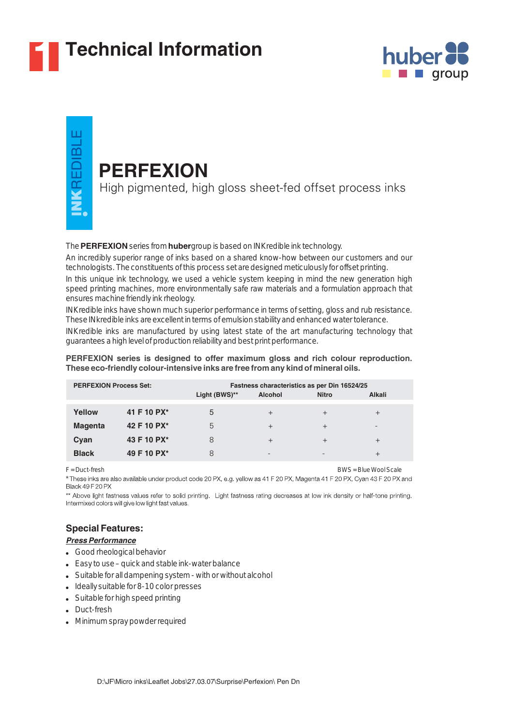

# **1 Technical Information**



# ш VKREDIBL

## **PERFEXION**

High pigmented, high gloss sheet-fed offset process inks

#### The **PERFEXION** series from **huber** group is based on INKredible ink technology.

An incredibly superior range of inks based on a shared know-how between our customers and our technologists. The constituents of this process set are designed meticulously for offset printing.

In this unique ink technology, we used a vehicle system keeping in mind the new generation high speed printing machines, more environmentally safe raw materials and a formulation approach that ensures machine friendly ink rheology.

INKredible inks have shown much superior performance in terms of setting, gloss and rub resistance. These INkredible inks are excellent in terms of emulsion stability and enhanced water tolerance.

INKredible inks are manufactured by using latest state of the art manufacturing technology that guarantees a high level of production reliability and best print performance.

#### **PERFEXION series is designed to offer maximum gloss and rich colour reproduction. These eco-friendly colour-intensive inks are free from any kind of mineral oils.**

| <b>PERFEXION Process Set:</b> |             | Light (BWS)** | <b>Alcohol</b>           | Fastness characteristics as per Din 16524/25<br><b>Nitro</b> | <b>Alkali</b>   |
|-------------------------------|-------------|---------------|--------------------------|--------------------------------------------------------------|-----------------|
| Yellow                        | 41 F 10 PX* | 5             | $^{+}$                   | $^{+}$                                                       | $^{+}$          |
| <b>Magenta</b>                | 42 F 10 PX* | 5             | $^{+}$                   | $^{+}$                                                       | $\qquad \qquad$ |
| Cyan                          | 43 F 10 PX* | 8             | $^{+}$                   | $^{+}$                                                       | $^{+}$          |
| <b>Black</b>                  | 49 F 10 PX* |               | $\overline{\phantom{0}}$ |                                                              |                 |

F = Duct-fresh BWS = Blue Wool Scale

\* These inks are also available under product code 20 PX, e.g. yellow as 41 F 20 PX, Magenta 41 F 20 PX, Cyan 43 F 20 PX and<br>Black 49 F 20 PX

\*\* Above light fastness values refer to solid printing. Light fastness rating decreases at low ink density or half-tone printing. Intermixed colors will give low light fast values.

## **Special Features:**

#### *Press Performance*

- Good rheological behavior
- Easy to use quick and stable ink-water balance
- Suitable for all dampening system with or without alcohol
- Ideally suitable for 8-10 color presses
- Suitable for high speed printing
- Duct-fresh
- Minimum spray powder required